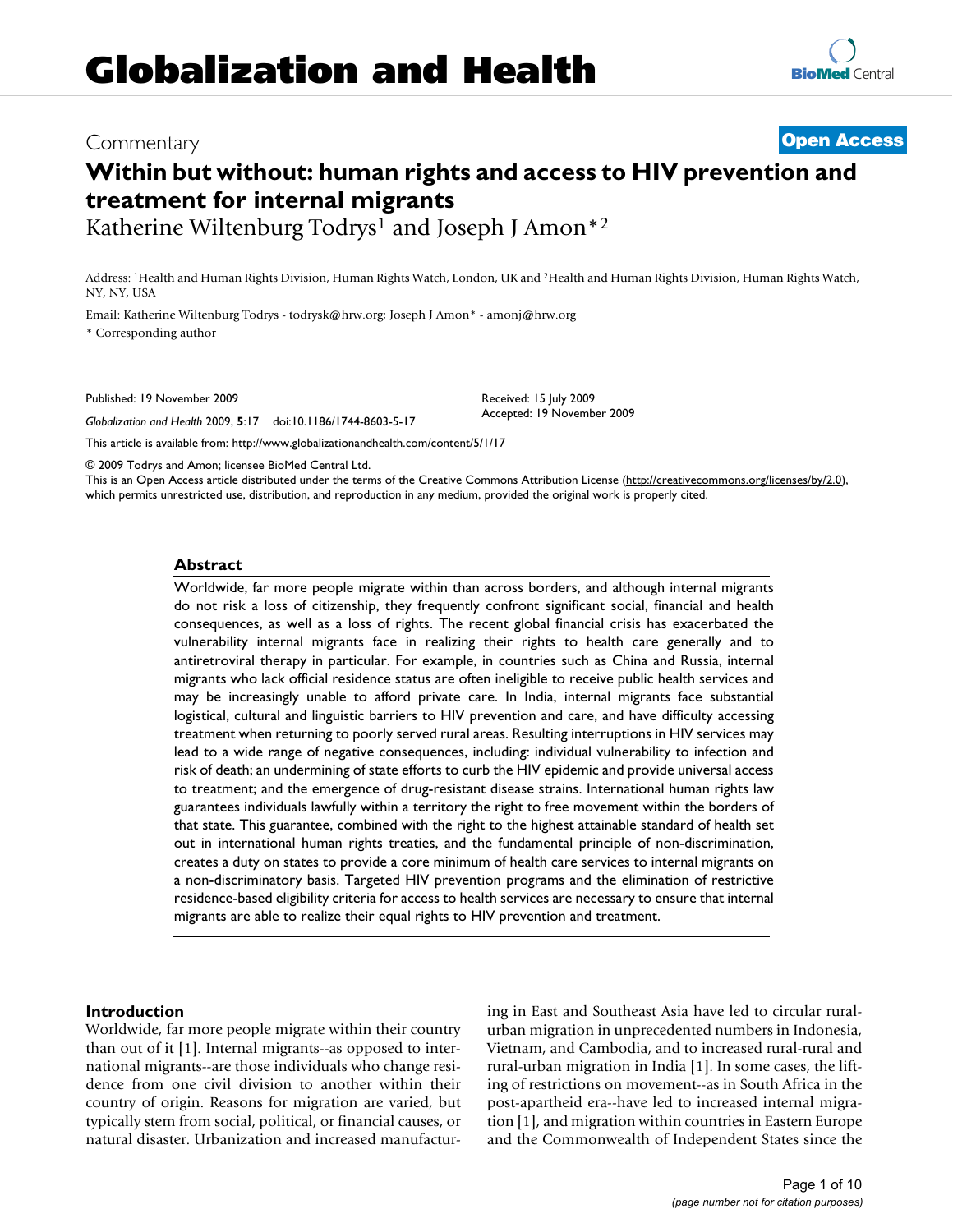# Commentary **[Open Access](http://www.biomedcentral.com/info/about/charter/)**

# **Within but without: human rights and access to HIV prevention and treatment for internal migrants**

Katherine Wiltenburg Todrys<sup>1</sup> and Joseph J Amon\*<sup>2</sup>

Address: 1Health and Human Rights Division, Human Rights Watch, London, UK and 2Health and Human Rights Division, Human Rights Watch, NY, NY, USA

Email: Katherine Wiltenburg Todrys - todrysk@hrw.org; Joseph J Amon\* - amonj@hrw.org \* Corresponding author

Published: 19 November 2009

*Globalization and Health* 2009, **5**:17 doi:10.1186/1744-8603-5-17

Received: 15 July 2009 Accepted: 19 November 2009

[This article is available from: http://www.globalizationandhealth.com/content/5/1/17](http://www.globalizationandhealth.com/content/5/1/17)

© 2009 Todrys and Amon; licensee BioMed Central Ltd.

This is an Open Access article distributed under the terms of the Creative Commons Attribution License [\(http://creativecommons.org/licenses/by/2.0\)](http://creativecommons.org/licenses/by/2.0), which permits unrestricted use, distribution, and reproduction in any medium, provided the original work is properly cited.

#### **Abstract**

Worldwide, far more people migrate within than across borders, and although internal migrants do not risk a loss of citizenship, they frequently confront significant social, financial and health consequences, as well as a loss of rights. The recent global financial crisis has exacerbated the vulnerability internal migrants face in realizing their rights to health care generally and to antiretroviral therapy in particular. For example, in countries such as China and Russia, internal migrants who lack official residence status are often ineligible to receive public health services and may be increasingly unable to afford private care. In India, internal migrants face substantial logistical, cultural and linguistic barriers to HIV prevention and care, and have difficulty accessing treatment when returning to poorly served rural areas. Resulting interruptions in HIV services may lead to a wide range of negative consequences, including: individual vulnerability to infection and risk of death; an undermining of state efforts to curb the HIV epidemic and provide universal access to treatment; and the emergence of drug-resistant disease strains. International human rights law guarantees individuals lawfully within a territory the right to free movement within the borders of that state. This guarantee, combined with the right to the highest attainable standard of health set out in international human rights treaties, and the fundamental principle of non-discrimination, creates a duty on states to provide a core minimum of health care services to internal migrants on a non-discriminatory basis. Targeted HIV prevention programs and the elimination of restrictive residence-based eligibility criteria for access to health services are necessary to ensure that internal migrants are able to realize their equal rights to HIV prevention and treatment.

#### **Introduction**

Worldwide, far more people migrate within their country than out of it [1]. Internal migrants--as opposed to international migrants--are those individuals who change residence from one civil division to another within their country of origin. Reasons for migration are varied, but typically stem from social, political, or financial causes, or natural disaster. Urbanization and increased manufacturing in East and Southeast Asia have led to circular ruralurban migration in unprecedented numbers in Indonesia, Vietnam, and Cambodia, and to increased rural-rural and rural-urban migration in India [1]. In some cases, the lifting of restrictions on movement--as in South Africa in the post-apartheid era--have led to increased internal migration [1], and migration within countries in Eastern Europe and the Commonwealth of Independent States since the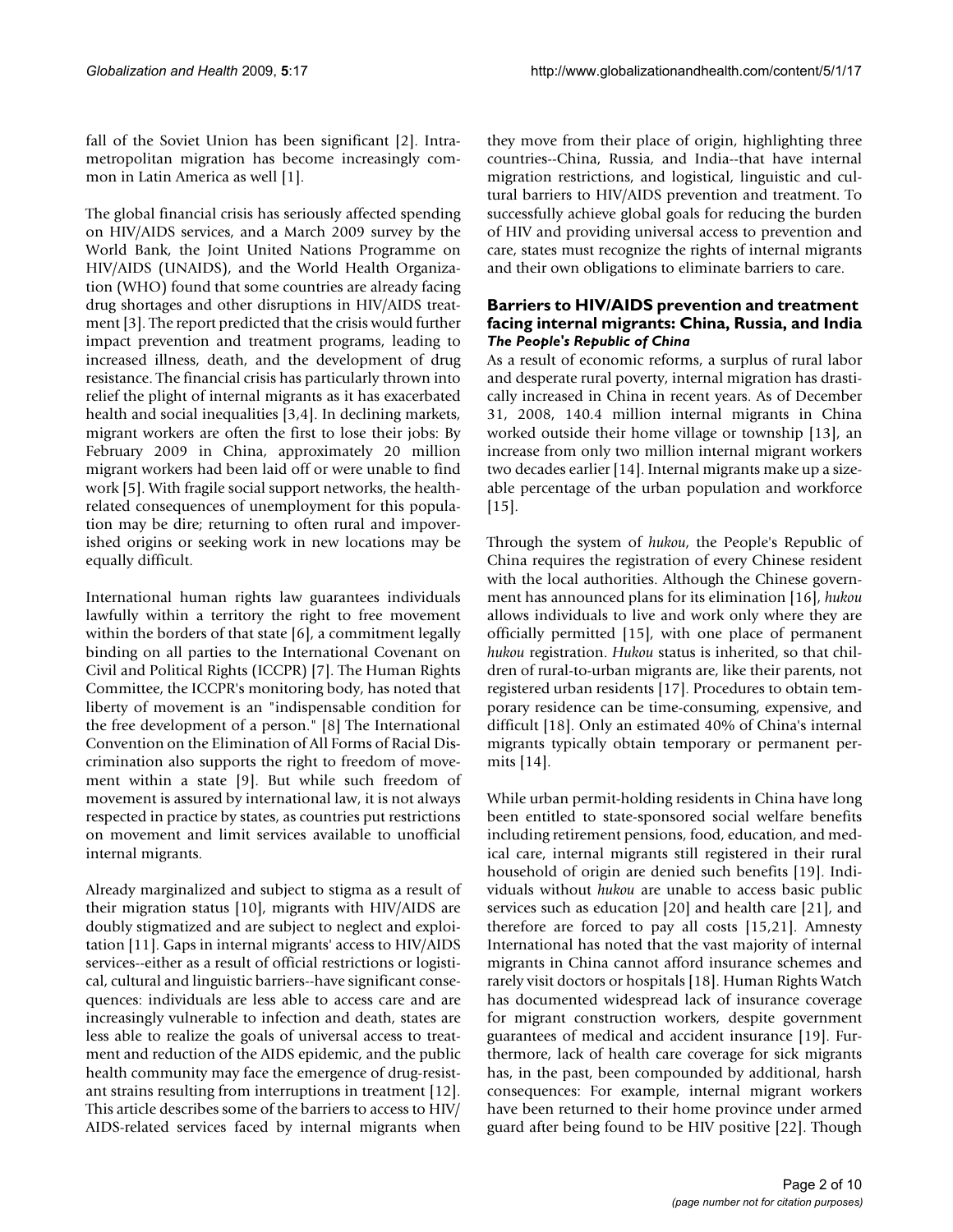fall of the Soviet Union has been significant [2]. Intrametropolitan migration has become increasingly common in Latin America as well [1].

The global financial crisis has seriously affected spending on HIV/AIDS services, and a March 2009 survey by the World Bank, the Joint United Nations Programme on HIV/AIDS (UNAIDS), and the World Health Organization (WHO) found that some countries are already facing drug shortages and other disruptions in HIV/AIDS treatment [3]. The report predicted that the crisis would further impact prevention and treatment programs, leading to increased illness, death, and the development of drug resistance. The financial crisis has particularly thrown into relief the plight of internal migrants as it has exacerbated health and social inequalities [3,4]. In declining markets, migrant workers are often the first to lose their jobs: By February 2009 in China, approximately 20 million migrant workers had been laid off or were unable to find work [5]. With fragile social support networks, the healthrelated consequences of unemployment for this population may be dire; returning to often rural and impoverished origins or seeking work in new locations may be equally difficult.

International human rights law guarantees individuals lawfully within a territory the right to free movement within the borders of that state [6], a commitment legally binding on all parties to the International Covenant on Civil and Political Rights (ICCPR) [7]. The Human Rights Committee, the ICCPR's monitoring body, has noted that liberty of movement is an "indispensable condition for the free development of a person." [8] The International Convention on the Elimination of All Forms of Racial Discrimination also supports the right to freedom of movement within a state [9]. But while such freedom of movement is assured by international law, it is not always respected in practice by states, as countries put restrictions on movement and limit services available to unofficial internal migrants.

Already marginalized and subject to stigma as a result of their migration status [10], migrants with HIV/AIDS are doubly stigmatized and are subject to neglect and exploitation [11]. Gaps in internal migrants' access to HIV/AIDS services--either as a result of official restrictions or logistical, cultural and linguistic barriers--have significant consequences: individuals are less able to access care and are increasingly vulnerable to infection and death, states are less able to realize the goals of universal access to treatment and reduction of the AIDS epidemic, and the public health community may face the emergence of drug-resistant strains resulting from interruptions in treatment [12]. This article describes some of the barriers to access to HIV/ AIDS-related services faced by internal migrants when

they move from their place of origin, highlighting three countries--China, Russia, and India--that have internal migration restrictions, and logistical, linguistic and cultural barriers to HIV/AIDS prevention and treatment. To successfully achieve global goals for reducing the burden of HIV and providing universal access to prevention and care, states must recognize the rights of internal migrants and their own obligations to eliminate barriers to care.

#### **Barriers to HIV/AIDS prevention and treatment facing internal migrants: China, Russia, and India** *The People's Republic of China*

As a result of economic reforms, a surplus of rural labor and desperate rural poverty, internal migration has drastically increased in China in recent years. As of December 31, 2008, 140.4 million internal migrants in China worked outside their home village or township [13], an increase from only two million internal migrant workers two decades earlier [14]. Internal migrants make up a sizeable percentage of the urban population and workforce  $[15]$ .

Through the system of *hukou*, the People's Republic of China requires the registration of every Chinese resident with the local authorities. Although the Chinese government has announced plans for its elimination [16], *hukou* allows individuals to live and work only where they are officially permitted [15], with one place of permanent *hukou* registration. *Hukou* status is inherited, so that children of rural-to-urban migrants are, like their parents, not registered urban residents [17]. Procedures to obtain temporary residence can be time-consuming, expensive, and difficult [18]. Only an estimated 40% of China's internal migrants typically obtain temporary or permanent permits [14].

While urban permit-holding residents in China have long been entitled to state-sponsored social welfare benefits including retirement pensions, food, education, and medical care, internal migrants still registered in their rural household of origin are denied such benefits [19]. Individuals without *hukou* are unable to access basic public services such as education [20] and health care [21], and therefore are forced to pay all costs [15,21]. Amnesty International has noted that the vast majority of internal migrants in China cannot afford insurance schemes and rarely visit doctors or hospitals [18]. Human Rights Watch has documented widespread lack of insurance coverage for migrant construction workers, despite government guarantees of medical and accident insurance [19]. Furthermore, lack of health care coverage for sick migrants has, in the past, been compounded by additional, harsh consequences: For example, internal migrant workers have been returned to their home province under armed guard after being found to be HIV positive [22]. Though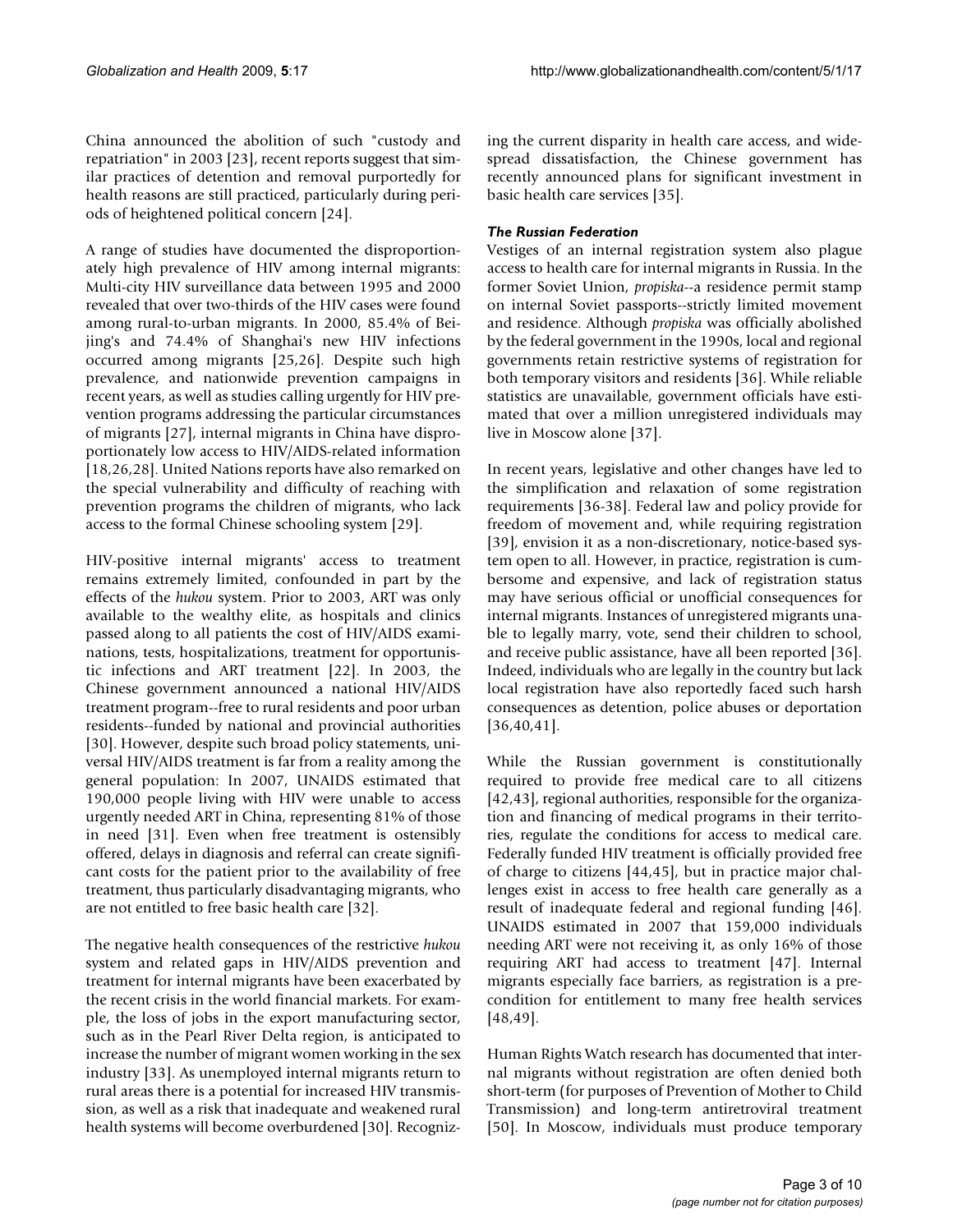China announced the abolition of such "custody and repatriation" in 2003 [23], recent reports suggest that similar practices of detention and removal purportedly for health reasons are still practiced, particularly during periods of heightened political concern [24].

A range of studies have documented the disproportionately high prevalence of HIV among internal migrants: Multi-city HIV surveillance data between 1995 and 2000 revealed that over two-thirds of the HIV cases were found among rural-to-urban migrants. In 2000, 85.4% of Beijing's and 74.4% of Shanghai's new HIV infections occurred among migrants [25,26]. Despite such high prevalence, and nationwide prevention campaigns in recent years, as well as studies calling urgently for HIV prevention programs addressing the particular circumstances of migrants [27], internal migrants in China have disproportionately low access to HIV/AIDS-related information [18,26,28]. United Nations reports have also remarked on the special vulnerability and difficulty of reaching with prevention programs the children of migrants, who lack access to the formal Chinese schooling system [29].

HIV-positive internal migrants' access to treatment remains extremely limited, confounded in part by the effects of the *hukou* system. Prior to 2003, ART was only available to the wealthy elite, as hospitals and clinics passed along to all patients the cost of HIV/AIDS examinations, tests, hospitalizations, treatment for opportunistic infections and ART treatment [22]. In 2003, the Chinese government announced a national HIV/AIDS treatment program--free to rural residents and poor urban residents--funded by national and provincial authorities [30]. However, despite such broad policy statements, universal HIV/AIDS treatment is far from a reality among the general population: In 2007, UNAIDS estimated that 190,000 people living with HIV were unable to access urgently needed ART in China, representing 81% of those in need [31]. Even when free treatment is ostensibly offered, delays in diagnosis and referral can create significant costs for the patient prior to the availability of free treatment, thus particularly disadvantaging migrants, who are not entitled to free basic health care [32].

The negative health consequences of the restrictive *hukou* system and related gaps in HIV/AIDS prevention and treatment for internal migrants have been exacerbated by the recent crisis in the world financial markets. For example, the loss of jobs in the export manufacturing sector, such as in the Pearl River Delta region, is anticipated to increase the number of migrant women working in the sex industry [33]. As unemployed internal migrants return to rural areas there is a potential for increased HIV transmission, as well as a risk that inadequate and weakened rural health systems will become overburdened [30]. Recognizing the current disparity in health care access, and widespread dissatisfaction, the Chinese government has recently announced plans for significant investment in basic health care services [35].

### *The Russian Federation*

Vestiges of an internal registration system also plague access to health care for internal migrants in Russia. In the former Soviet Union, *propiska*--a residence permit stamp on internal Soviet passports--strictly limited movement and residence. Although *propiska* was officially abolished by the federal government in the 1990s, local and regional governments retain restrictive systems of registration for both temporary visitors and residents [36]. While reliable statistics are unavailable, government officials have estimated that over a million unregistered individuals may live in Moscow alone [37].

In recent years, legislative and other changes have led to the simplification and relaxation of some registration requirements [36-38]. Federal law and policy provide for freedom of movement and, while requiring registration [39], envision it as a non-discretionary, notice-based system open to all. However, in practice, registration is cumbersome and expensive, and lack of registration status may have serious official or unofficial consequences for internal migrants. Instances of unregistered migrants unable to legally marry, vote, send their children to school, and receive public assistance, have all been reported [36]. Indeed, individuals who are legally in the country but lack local registration have also reportedly faced such harsh consequences as detention, police abuses or deportation [36,40,41].

While the Russian government is constitutionally required to provide free medical care to all citizens [42,43], regional authorities, responsible for the organization and financing of medical programs in their territories, regulate the conditions for access to medical care. Federally funded HIV treatment is officially provided free of charge to citizens [44,45], but in practice major challenges exist in access to free health care generally as a result of inadequate federal and regional funding [46]. UNAIDS estimated in 2007 that 159,000 individuals needing ART were not receiving it, as only 16% of those requiring ART had access to treatment [47]. Internal migrants especially face barriers, as registration is a precondition for entitlement to many free health services [48,49].

Human Rights Watch research has documented that internal migrants without registration are often denied both short-term (for purposes of Prevention of Mother to Child Transmission) and long-term antiretroviral treatment [50]. In Moscow, individuals must produce temporary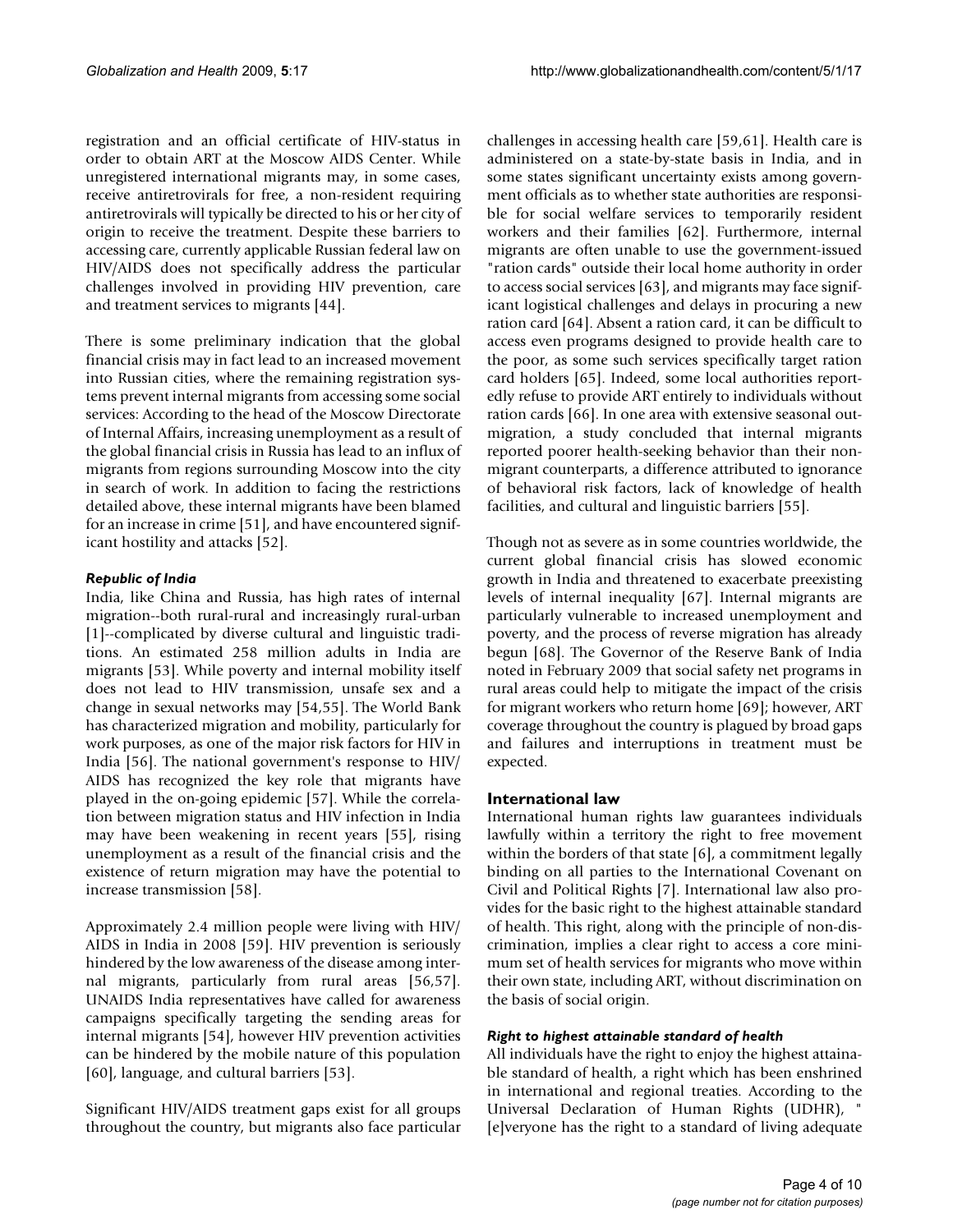registration and an official certificate of HIV-status in order to obtain ART at the Moscow AIDS Center. While unregistered international migrants may, in some cases, receive antiretrovirals for free, a non-resident requiring antiretrovirals will typically be directed to his or her city of origin to receive the treatment. Despite these barriers to accessing care, currently applicable Russian federal law on HIV/AIDS does not specifically address the particular challenges involved in providing HIV prevention, care and treatment services to migrants [44].

There is some preliminary indication that the global financial crisis may in fact lead to an increased movement into Russian cities, where the remaining registration systems prevent internal migrants from accessing some social services: According to the head of the Moscow Directorate of Internal Affairs, increasing unemployment as a result of the global financial crisis in Russia has lead to an influx of migrants from regions surrounding Moscow into the city in search of work. In addition to facing the restrictions detailed above, these internal migrants have been blamed for an increase in crime [51], and have encountered significant hostility and attacks [52].

### *Republic of India*

India, like China and Russia, has high rates of internal migration--both rural-rural and increasingly rural-urban [1]--complicated by diverse cultural and linguistic traditions. An estimated 258 million adults in India are migrants [53]. While poverty and internal mobility itself does not lead to HIV transmission, unsafe sex and a change in sexual networks may [54,55]. The World Bank has characterized migration and mobility, particularly for work purposes, as one of the major risk factors for HIV in India [56]. The national government's response to HIV/ AIDS has recognized the key role that migrants have played in the on-going epidemic [57]. While the correlation between migration status and HIV infection in India may have been weakening in recent years [55], rising unemployment as a result of the financial crisis and the existence of return migration may have the potential to increase transmission [58].

Approximately 2.4 million people were living with HIV/ AIDS in India in 2008 [59]. HIV prevention is seriously hindered by the low awareness of the disease among internal migrants, particularly from rural areas [56,57]. UNAIDS India representatives have called for awareness campaigns specifically targeting the sending areas for internal migrants [54], however HIV prevention activities can be hindered by the mobile nature of this population [60], language, and cultural barriers [53].

Significant HIV/AIDS treatment gaps exist for all groups throughout the country, but migrants also face particular

challenges in accessing health care [59,61]. Health care is administered on a state-by-state basis in India, and in some states significant uncertainty exists among government officials as to whether state authorities are responsible for social welfare services to temporarily resident workers and their families [62]. Furthermore, internal migrants are often unable to use the government-issued "ration cards" outside their local home authority in order to access social services [63], and migrants may face significant logistical challenges and delays in procuring a new ration card [64]. Absent a ration card, it can be difficult to access even programs designed to provide health care to the poor, as some such services specifically target ration card holders [65]. Indeed, some local authorities reportedly refuse to provide ART entirely to individuals without ration cards [66]. In one area with extensive seasonal outmigration, a study concluded that internal migrants reported poorer health-seeking behavior than their nonmigrant counterparts, a difference attributed to ignorance of behavioral risk factors, lack of knowledge of health facilities, and cultural and linguistic barriers [55].

Though not as severe as in some countries worldwide, the current global financial crisis has slowed economic growth in India and threatened to exacerbate preexisting levels of internal inequality [67]. Internal migrants are particularly vulnerable to increased unemployment and poverty, and the process of reverse migration has already begun [68]. The Governor of the Reserve Bank of India noted in February 2009 that social safety net programs in rural areas could help to mitigate the impact of the crisis for migrant workers who return home [69]; however, ART coverage throughout the country is plagued by broad gaps and failures and interruptions in treatment must be expected.

# **International law**

International human rights law guarantees individuals lawfully within a territory the right to free movement within the borders of that state [6], a commitment legally binding on all parties to the International Covenant on Civil and Political Rights [7]. International law also provides for the basic right to the highest attainable standard of health. This right, along with the principle of non-discrimination, implies a clear right to access a core minimum set of health services for migrants who move within their own state, including ART, without discrimination on the basis of social origin.

#### *Right to highest attainable standard of health*

All individuals have the right to enjoy the highest attainable standard of health, a right which has been enshrined in international and regional treaties. According to the Universal Declaration of Human Rights (UDHR), " [e]veryone has the right to a standard of living adequate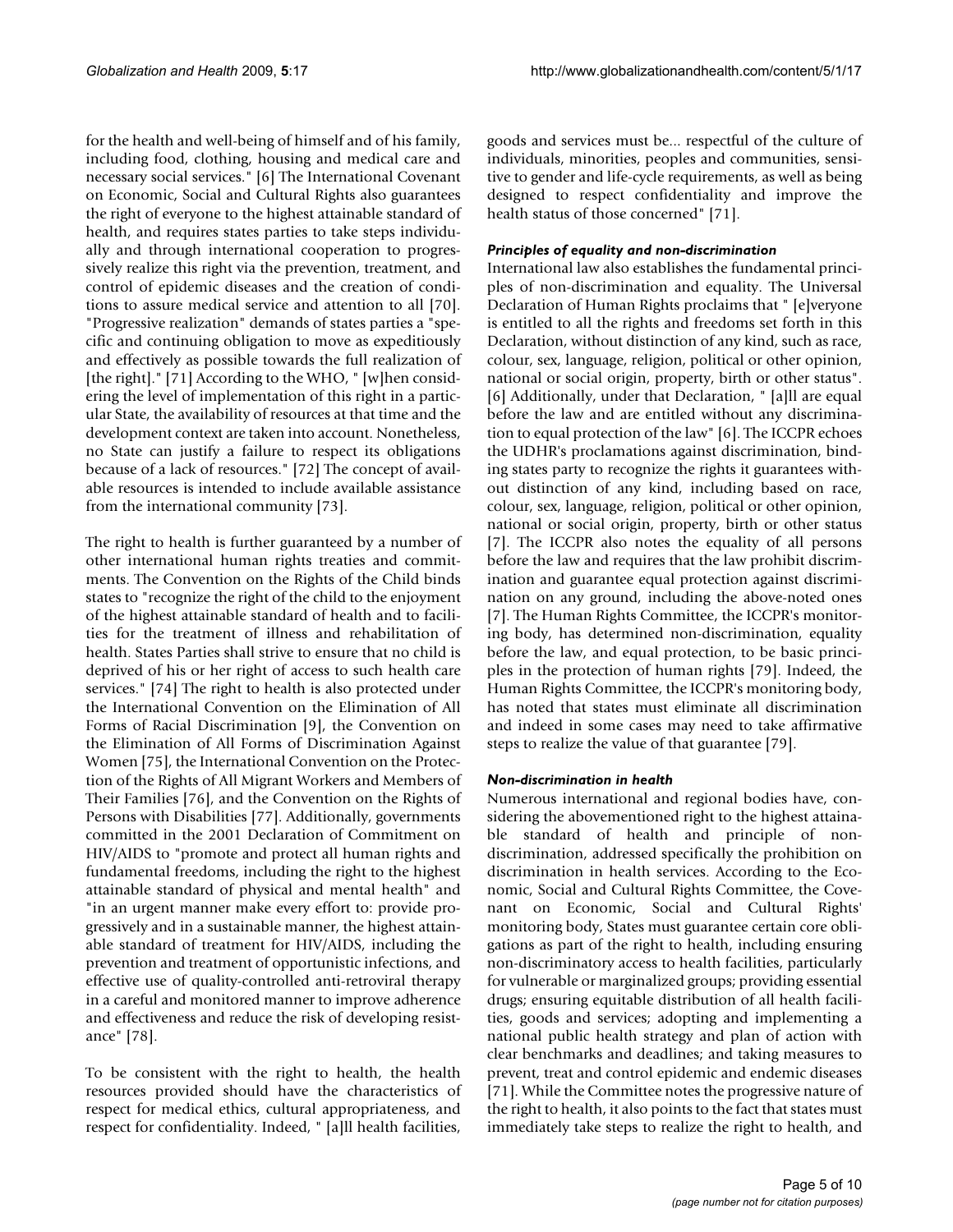for the health and well-being of himself and of his family, including food, clothing, housing and medical care and necessary social services." [6] The International Covenant on Economic, Social and Cultural Rights also guarantees the right of everyone to the highest attainable standard of health, and requires states parties to take steps individually and through international cooperation to progressively realize this right via the prevention, treatment, and control of epidemic diseases and the creation of conditions to assure medical service and attention to all [70]. "Progressive realization" demands of states parties a "specific and continuing obligation to move as expeditiously and effectively as possible towards the full realization of [the right]." [71] According to the WHO, " [w]hen considering the level of implementation of this right in a particular State, the availability of resources at that time and the development context are taken into account. Nonetheless, no State can justify a failure to respect its obligations because of a lack of resources." [72] The concept of available resources is intended to include available assistance from the international community [73].

The right to health is further guaranteed by a number of other international human rights treaties and commitments. The Convention on the Rights of the Child binds states to "recognize the right of the child to the enjoyment of the highest attainable standard of health and to facilities for the treatment of illness and rehabilitation of health. States Parties shall strive to ensure that no child is deprived of his or her right of access to such health care services." [74] The right to health is also protected under the International Convention on the Elimination of All Forms of Racial Discrimination [9], the Convention on the Elimination of All Forms of Discrimination Against Women [75], the International Convention on the Protection of the Rights of All Migrant Workers and Members of Their Families [76], and the Convention on the Rights of Persons with Disabilities [77]. Additionally, governments committed in the 2001 Declaration of Commitment on HIV/AIDS to "promote and protect all human rights and fundamental freedoms, including the right to the highest attainable standard of physical and mental health" and "in an urgent manner make every effort to: provide progressively and in a sustainable manner, the highest attainable standard of treatment for HIV/AIDS, including the prevention and treatment of opportunistic infections, and effective use of quality-controlled anti-retroviral therapy in a careful and monitored manner to improve adherence and effectiveness and reduce the risk of developing resistance" [78].

To be consistent with the right to health, the health resources provided should have the characteristics of respect for medical ethics, cultural appropriateness, and respect for confidentiality. Indeed, " [a]ll health facilities,

goods and services must be... respectful of the culture of individuals, minorities, peoples and communities, sensitive to gender and life-cycle requirements, as well as being designed to respect confidentiality and improve the health status of those concerned" [71].

#### *Principles of equality and non-discrimination*

International law also establishes the fundamental principles of non-discrimination and equality. The Universal Declaration of Human Rights proclaims that " [e]veryone is entitled to all the rights and freedoms set forth in this Declaration, without distinction of any kind, such as race, colour, sex, language, religion, political or other opinion, national or social origin, property, birth or other status". [6] Additionally, under that Declaration, " [a]ll are equal before the law and are entitled without any discrimination to equal protection of the law" [6]. The ICCPR echoes the UDHR's proclamations against discrimination, binding states party to recognize the rights it guarantees without distinction of any kind, including based on race, colour, sex, language, religion, political or other opinion, national or social origin, property, birth or other status [7]. The ICCPR also notes the equality of all persons before the law and requires that the law prohibit discrimination and guarantee equal protection against discrimination on any ground, including the above-noted ones [7]. The Human Rights Committee, the ICCPR's monitoring body, has determined non-discrimination, equality before the law, and equal protection, to be basic principles in the protection of human rights [79]. Indeed, the Human Rights Committee, the ICCPR's monitoring body, has noted that states must eliminate all discrimination and indeed in some cases may need to take affirmative steps to realize the value of that guarantee [79].

#### *Non-discrimination in health*

Numerous international and regional bodies have, considering the abovementioned right to the highest attainable standard of health and principle of nondiscrimination, addressed specifically the prohibition on discrimination in health services. According to the Economic, Social and Cultural Rights Committee, the Covenant on Economic, Social and Cultural Rights' monitoring body, States must guarantee certain core obligations as part of the right to health, including ensuring non-discriminatory access to health facilities, particularly for vulnerable or marginalized groups; providing essential drugs; ensuring equitable distribution of all health facilities, goods and services; adopting and implementing a national public health strategy and plan of action with clear benchmarks and deadlines; and taking measures to prevent, treat and control epidemic and endemic diseases [71]. While the Committee notes the progressive nature of the right to health, it also points to the fact that states must immediately take steps to realize the right to health, and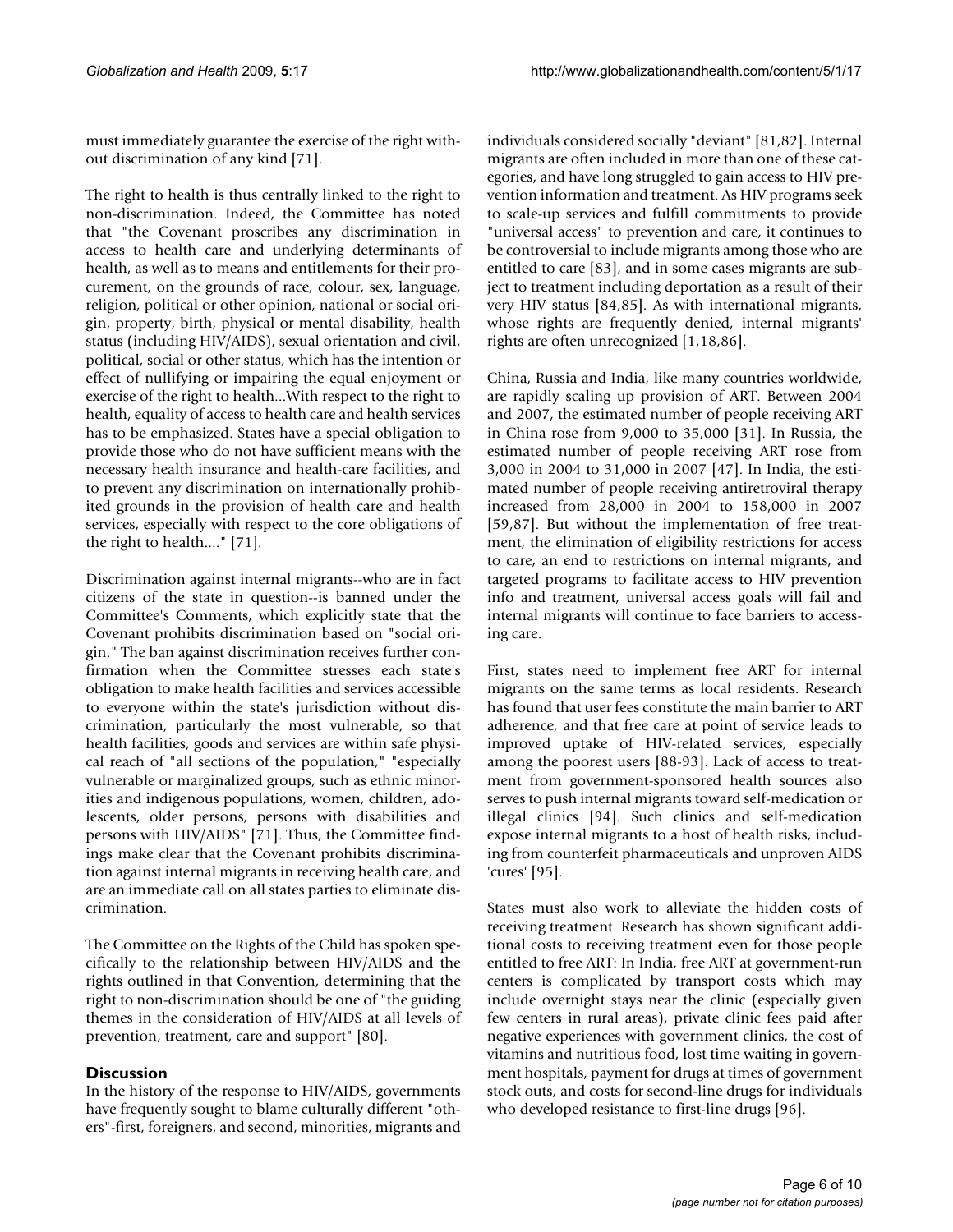must immediately guarantee the exercise of the right without discrimination of any kind [71].

The right to health is thus centrally linked to the right to non-discrimination. Indeed, the Committee has noted that "the Covenant proscribes any discrimination in access to health care and underlying determinants of health, as well as to means and entitlements for their procurement, on the grounds of race, colour, sex, language, religion, political or other opinion, national or social origin, property, birth, physical or mental disability, health status (including HIV/AIDS), sexual orientation and civil, political, social or other status, which has the intention or effect of nullifying or impairing the equal enjoyment or exercise of the right to health...With respect to the right to health, equality of access to health care and health services has to be emphasized. States have a special obligation to provide those who do not have sufficient means with the necessary health insurance and health-care facilities, and to prevent any discrimination on internationally prohibited grounds in the provision of health care and health services, especially with respect to the core obligations of the right to health...." [71].

Discrimination against internal migrants--who are in fact citizens of the state in question--is banned under the Committee's Comments, which explicitly state that the Covenant prohibits discrimination based on "social origin." The ban against discrimination receives further confirmation when the Committee stresses each state's obligation to make health facilities and services accessible to everyone within the state's jurisdiction without discrimination, particularly the most vulnerable, so that health facilities, goods and services are within safe physical reach of "all sections of the population," "especially vulnerable or marginalized groups, such as ethnic minorities and indigenous populations, women, children, adolescents, older persons, persons with disabilities and persons with HIV/AIDS" [71]. Thus, the Committee findings make clear that the Covenant prohibits discrimination against internal migrants in receiving health care, and are an immediate call on all states parties to eliminate discrimination.

The Committee on the Rights of the Child has spoken specifically to the relationship between HIV/AIDS and the rights outlined in that Convention, determining that the right to non-discrimination should be one of "the guiding themes in the consideration of HIV/AIDS at all levels of prevention, treatment, care and support" [80].

# **Discussion**

In the history of the response to HIV/AIDS, governments have frequently sought to blame culturally different "others"-first, foreigners, and second, minorities, migrants and individuals considered socially "deviant" [81,82]. Internal migrants are often included in more than one of these categories, and have long struggled to gain access to HIV prevention information and treatment. As HIV programs seek to scale-up services and fulfill commitments to provide "universal access" to prevention and care, it continues to be controversial to include migrants among those who are entitled to care [83], and in some cases migrants are subject to treatment including deportation as a result of their very HIV status [84,85]. As with international migrants, whose rights are frequently denied, internal migrants' rights are often unrecognized [1,18,86].

China, Russia and India, like many countries worldwide, are rapidly scaling up provision of ART. Between 2004 and 2007, the estimated number of people receiving ART in China rose from 9,000 to 35,000 [31]. In Russia, the estimated number of people receiving ART rose from 3,000 in 2004 to 31,000 in 2007 [47]. In India, the estimated number of people receiving antiretroviral therapy increased from 28,000 in 2004 to 158,000 in 2007 [59,87]. But without the implementation of free treatment, the elimination of eligibility restrictions for access to care, an end to restrictions on internal migrants, and targeted programs to facilitate access to HIV prevention info and treatment, universal access goals will fail and internal migrants will continue to face barriers to accessing care.

First, states need to implement free ART for internal migrants on the same terms as local residents. Research has found that user fees constitute the main barrier to ART adherence, and that free care at point of service leads to improved uptake of HIV-related services, especially among the poorest users [88-93]. Lack of access to treatment from government-sponsored health sources also serves to push internal migrants toward self-medication or illegal clinics [94]. Such clinics and self-medication expose internal migrants to a host of health risks, including from counterfeit pharmaceuticals and unproven AIDS 'cures' [95].

States must also work to alleviate the hidden costs of receiving treatment. Research has shown significant additional costs to receiving treatment even for those people entitled to free ART: In India, free ART at government-run centers is complicated by transport costs which may include overnight stays near the clinic (especially given few centers in rural areas), private clinic fees paid after negative experiences with government clinics, the cost of vitamins and nutritious food, lost time waiting in government hospitals, payment for drugs at times of government stock outs, and costs for second-line drugs for individuals who developed resistance to first-line drugs [96].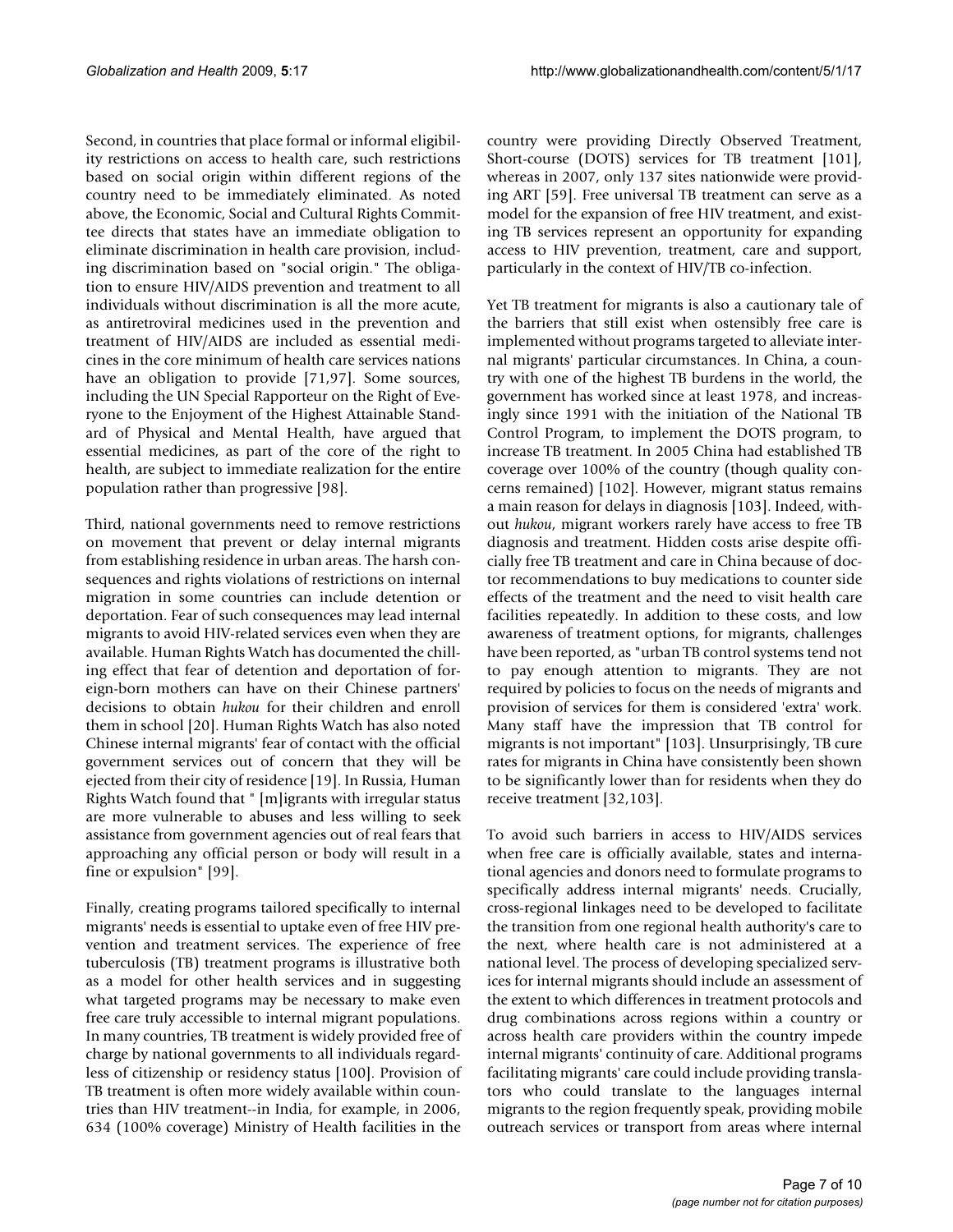Second, in countries that place formal or informal eligibility restrictions on access to health care, such restrictions based on social origin within different regions of the country need to be immediately eliminated. As noted above, the Economic, Social and Cultural Rights Committee directs that states have an immediate obligation to eliminate discrimination in health care provision, including discrimination based on "social origin." The obligation to ensure HIV/AIDS prevention and treatment to all individuals without discrimination is all the more acute, as antiretroviral medicines used in the prevention and treatment of HIV/AIDS are included as essential medicines in the core minimum of health care services nations have an obligation to provide [71,97]. Some sources, including the UN Special Rapporteur on the Right of Everyone to the Enjoyment of the Highest Attainable Standard of Physical and Mental Health, have argued that essential medicines, as part of the core of the right to health, are subject to immediate realization for the entire population rather than progressive [98].

Third, national governments need to remove restrictions on movement that prevent or delay internal migrants from establishing residence in urban areas. The harsh consequences and rights violations of restrictions on internal migration in some countries can include detention or deportation. Fear of such consequences may lead internal migrants to avoid HIV-related services even when they are available. Human Rights Watch has documented the chilling effect that fear of detention and deportation of foreign-born mothers can have on their Chinese partners' decisions to obtain *hukou* for their children and enroll them in school [20]. Human Rights Watch has also noted Chinese internal migrants' fear of contact with the official government services out of concern that they will be ejected from their city of residence [19]. In Russia, Human Rights Watch found that " [m]igrants with irregular status are more vulnerable to abuses and less willing to seek assistance from government agencies out of real fears that approaching any official person or body will result in a fine or expulsion" [99].

Finally, creating programs tailored specifically to internal migrants' needs is essential to uptake even of free HIV prevention and treatment services. The experience of free tuberculosis (TB) treatment programs is illustrative both as a model for other health services and in suggesting what targeted programs may be necessary to make even free care truly accessible to internal migrant populations. In many countries, TB treatment is widely provided free of charge by national governments to all individuals regardless of citizenship or residency status [100]. Provision of TB treatment is often more widely available within countries than HIV treatment--in India, for example, in 2006, 634 (100% coverage) Ministry of Health facilities in the country were providing Directly Observed Treatment, Short-course (DOTS) services for TB treatment [101], whereas in 2007, only 137 sites nationwide were providing ART [59]. Free universal TB treatment can serve as a model for the expansion of free HIV treatment, and existing TB services represent an opportunity for expanding access to HIV prevention, treatment, care and support, particularly in the context of HIV/TB co-infection.

Yet TB treatment for migrants is also a cautionary tale of the barriers that still exist when ostensibly free care is implemented without programs targeted to alleviate internal migrants' particular circumstances. In China, a country with one of the highest TB burdens in the world, the government has worked since at least 1978, and increasingly since 1991 with the initiation of the National TB Control Program, to implement the DOTS program, to increase TB treatment. In 2005 China had established TB coverage over 100% of the country (though quality concerns remained) [102]. However, migrant status remains a main reason for delays in diagnosis [103]. Indeed, without *hukou*, migrant workers rarely have access to free TB diagnosis and treatment. Hidden costs arise despite officially free TB treatment and care in China because of doctor recommendations to buy medications to counter side effects of the treatment and the need to visit health care facilities repeatedly. In addition to these costs, and low awareness of treatment options, for migrants, challenges have been reported, as "urban TB control systems tend not to pay enough attention to migrants. They are not required by policies to focus on the needs of migrants and provision of services for them is considered 'extra' work. Many staff have the impression that TB control for migrants is not important" [103]. Unsurprisingly, TB cure rates for migrants in China have consistently been shown to be significantly lower than for residents when they do receive treatment [32,103].

To avoid such barriers in access to HIV/AIDS services when free care is officially available, states and international agencies and donors need to formulate programs to specifically address internal migrants' needs. Crucially, cross-regional linkages need to be developed to facilitate the transition from one regional health authority's care to the next, where health care is not administered at a national level. The process of developing specialized services for internal migrants should include an assessment of the extent to which differences in treatment protocols and drug combinations across regions within a country or across health care providers within the country impede internal migrants' continuity of care. Additional programs facilitating migrants' care could include providing translators who could translate to the languages internal migrants to the region frequently speak, providing mobile outreach services or transport from areas where internal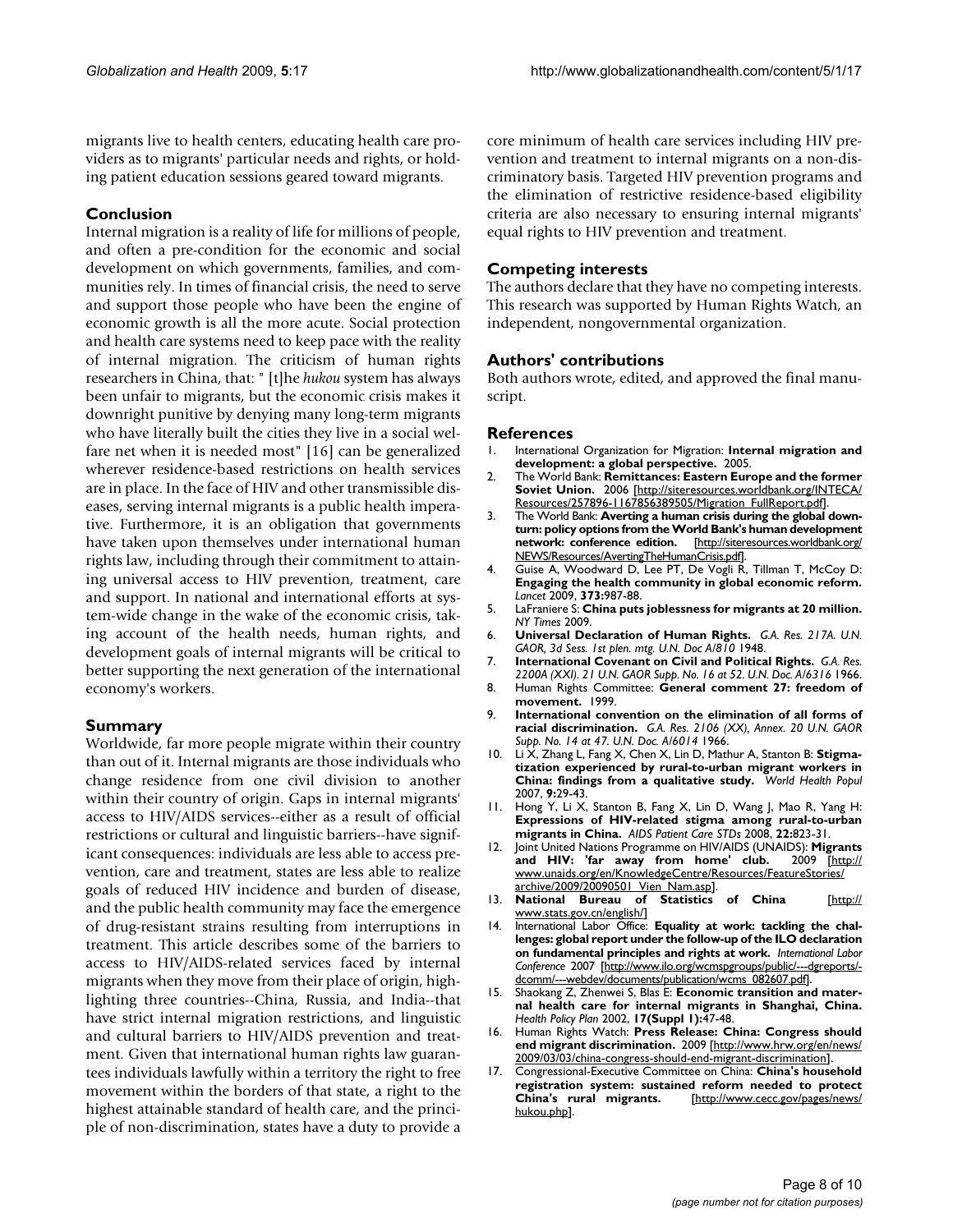migrants live to health centers, educating health care providers as to migrants' particular needs and rights, or holding patient education sessions geared toward migrants.

#### **Conclusion**

Internal migration is a reality of life for millions of people, and often a pre-condition for the economic and social development on which governments, families, and communities rely. In times of financial crisis, the need to serve and support those people who have been the engine of economic growth is all the more acute. Social protection and health care systems need to keep pace with the reality of internal migration. The criticism of human rights researchers in China, that: " [t]he *hukou* system has always been unfair to migrants, but the economic crisis makes it downright punitive by denying many long-term migrants who have literally built the cities they live in a social welfare net when it is needed most" [16] can be generalized wherever residence-based restrictions on health services are in place. In the face of HIV and other transmissible diseases, serving internal migrants is a public health imperative. Furthermore, it is an obligation that governments have taken upon themselves under international human rights law, including through their commitment to attaining universal access to HIV prevention, treatment, care and support. In national and international efforts at system-wide change in the wake of the economic crisis, taking account of the health needs, human rights, and development goals of internal migrants will be critical to better supporting the next generation of the international economy's workers.

#### **Summary**

Worldwide, far more people migrate within their country than out of it. Internal migrants are those individuals who change residence from one civil division to another within their country of origin. Gaps in internal migrants' access to HIV/AIDS services--either as a result of official restrictions or cultural and linguistic barriers--have significant consequences: individuals are less able to access prevention, care and treatment, states are less able to realize goals of reduced HIV incidence and burden of disease, and the public health community may face the emergence of drug-resistant strains resulting from interruptions in treatment. This article describes some of the barriers to access to HIV/AIDS-related services faced by internal migrants when they move from their place of origin, highlighting three countries--China, Russia, and India--that have strict internal migration restrictions, and linguistic and cultural barriers to HIV/AIDS prevention and treatment. Given that international human rights law guarantees individuals lawfully within a territory the right to free movement within the borders of that state, a right to the highest attainable standard of health care, and the principle of non-discrimination, states have a duty to provide a

core minimum of health care services including HIV prevention and treatment to internal migrants on a non-discriminatory basis. Targeted HIV prevention programs and the elimination of restrictive residence-based eligibility criteria are also necessary to ensuring internal migrants' equal rights to HIV prevention and treatment.

#### **Competing interests**

The authors declare that they have no competing interests. This research was supported by Human Rights Watch, an independent, nongovernmental organization.

#### **Authors' contributions**

Both authors wrote, edited, and approved the final manuscript.

#### **References**

- 1. International Organization for Migration: **Internal migration and development: a global perspective.** 2005.
- 2. The World Bank: **Remittances: Eastern Europe and the former Soviet Union.** 2006 [[http://siteresources.worldbank.org/INTECA/](http://siteresources.worldbank.org/INTECA/Resources/257896-1167856389505/Migration_FullReport.pdf) [Resources/257896-1167856389505/Migration\\_FullReport.pdf\]](http://siteresources.worldbank.org/INTECA/Resources/257896-1167856389505/Migration_FullReport.pdf)
- 3. The World Bank: **Averting a human crisis during the global downturn: policy options from the World Bank's human development network: conference edition.** [\[http://siteresources.worldbank.org/](http://siteresources.worldbank.org/NEWS/Resources/AvertingTheHumanCrisis.pdf) [NEWS/Resources/AvertingTheHumanCrisis.pdf\]](http://siteresources.worldbank.org/NEWS/Resources/AvertingTheHumanCrisis.pdf).
- 4. Guise A, Woodward D, Lee PT, De Vogli R, Tillman T, McCoy D: **[Engaging the health community in global economic reform.](http://www.ncbi.nlm.nih.gov/entrez/query.fcgi?cmd=Retrieve&db=PubMed&dopt=Abstract&list_uids=19304001)** *Lancet* 2009, **373:**987-88.
- 5. LaFraniere S: **China puts joblessness for migrants at 20 million.** *NY Times* 2009.
- 6. **Universal Declaration of Human Rights.** *G.A. Res. 217A. U.N. GAOR, 3d Sess. 1st plen. mtg. U.N. Doc A/810* 1948.
- 7. **International Covenant on Civil and Political Rights.** *G.A. Res. 2200A (XXI). 21 U.N. GAOR Supp. No. 16 at 52. U.N. Doc. A/6316* 1966.
- 8. Human Rights Committee: **General comment 27: freedom of movement.** 1999.
- 9. **International convention on the elimination of all forms of racial discrimination.** *G.A. Res. 2106 (XX), Annex. 20 U.N. GAOR Supp. No. 14 at 47. U.N. Doc. A/6014* 1966.
- 10. Li X, Zhang L, Fang X, Chen X, Lin D, Mathur A, Stanton B: **[Stigma](http://www.ncbi.nlm.nih.gov/entrez/query.fcgi?cmd=Retrieve&db=PubMed&dopt=Abstract&list_uids=18567950)[tization experienced by rural-to-urban migrant workers in](http://www.ncbi.nlm.nih.gov/entrez/query.fcgi?cmd=Retrieve&db=PubMed&dopt=Abstract&list_uids=18567950) [China: findings from a qualitative study.](http://www.ncbi.nlm.nih.gov/entrez/query.fcgi?cmd=Retrieve&db=PubMed&dopt=Abstract&list_uids=18567950)** *World Health Popul* 2007, **9:**29-43.
- 11. Hong Y, Li X, Stanton B, Fang X, Lin D, Wang J, Mao R, Yang H: **[Expressions of HIV-related stigma among rural-to-urban](http://www.ncbi.nlm.nih.gov/entrez/query.fcgi?cmd=Retrieve&db=PubMed&dopt=Abstract&list_uids=18847389) [migrants in China.](http://www.ncbi.nlm.nih.gov/entrez/query.fcgi?cmd=Retrieve&db=PubMed&dopt=Abstract&list_uids=18847389)** *AIDS Patient Care STDs* 2008, **22:**823-31.
- 12. Joint United Nations Programme on HIV/AIDS (UNAIDS): **Migrants** and HIV: 'far away from home' club. [www.unaids.org/en/KnowledgeCentre/Resources/FeatureStories/](http://www.unaids.org/en/KnowledgeCentre/Resources/FeatureStories/archive/2009/20090501_Vien_Nam.asp)
- archive/2009/20090501 Vien Nam.asp].<br>National Bureau of Statistics of China 13. **National Bureau of Statistics of China** [\[http://](http://www.stats.gov.cn/english/) [www.stats.gov.cn/english/\]](http://www.stats.gov.cn/english/)
- 14. International Labor Office: **Equality at work: tackling the challenges: global report under the follow-up of the ILO declaration on fundamental principles and rights at work.** *International Labor Conference* 2007 [\[http://www.ilo.org/wcmspgroups/public/---dgreports/](http://www.ilo.org/wcmsp5/groups/public/---dgreports/---dcomm/---webdev/documents/publication/wcms_082607.pdf) [dcomm/---webdev/documents/publication/wcms\\_082607.pdf\]](http://www.ilo.org/wcmsp5/groups/public/---dgreports/---dcomm/---webdev/documents/publication/wcms_082607.pdf).
- 15. Shaokang Z, Zhenwei S, Blas E: **[Economic transition and mater](http://www.ncbi.nlm.nih.gov/entrez/query.fcgi?cmd=Retrieve&db=PubMed&dopt=Abstract&list_uids=12477741)[nal health care for internal migrants in Shanghai, China.](http://www.ncbi.nlm.nih.gov/entrez/query.fcgi?cmd=Retrieve&db=PubMed&dopt=Abstract&list_uids=12477741)** *Health Policy Plan* 2002, **17(Suppl 1):**47-48.
- 16. Human Rights Watch: **Press Release: China: Congress should end migrant discrimination.** 2009 [[http://www.hrw.org/en/news/](http://www.hrw.org/en/news/2009/03/03/china-congress-should-end-migrant-discrimination) [2009/03/03/china-congress-should-end-migrant-discrimination](http://www.hrw.org/en/news/2009/03/03/china-congress-should-end-migrant-discrimination)].
- 17. Congressional-Executive Committee on China: **China's household registration system: sustained reform needed to protect** [[http://www.cecc.gov/pages/news/](http://www.cecc.gov/pages/news/hukou.php) [hukou.php](http://www.cecc.gov/pages/news/hukou.php)].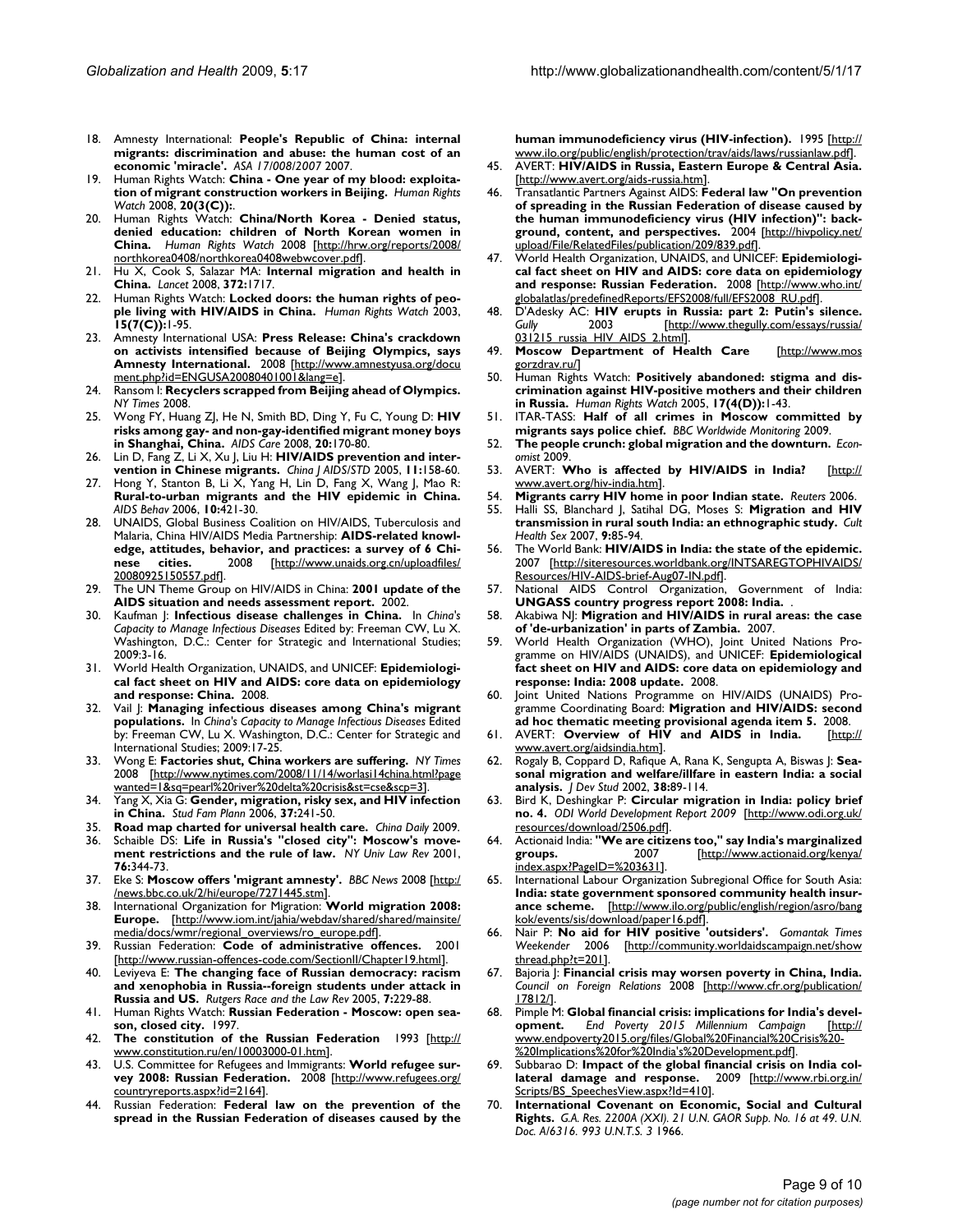- 18. Amnesty International: **People's Republic of China: internal migrants: discrimination and abuse: the human cost of an economic 'miracle'.** *ASA 17/008/2007* 2007.
- 19. Human Rights Watch: **China One year of my blood: exploitation of migrant construction workers in Beijing.** *Human Rights Watch* 2008, **20(3(C)):**.
- 20. Human Rights Watch: **China/North Korea Denied status, denied education: children of North Korean women in China.** *Human Rights Watch* 2008 [[http://hrw.org/reports/2008/](http://hrw.org/reports/2008/northkorea0408/northkorea0408webwcover.pdf) [northkorea0408/northkorea0408webwcover.pdf\]](http://hrw.org/reports/2008/northkorea0408/northkorea0408webwcover.pdf).
- 21. Hu X, Cook S, Salazar MA: **[Internal migration and health in](http://www.ncbi.nlm.nih.gov/entrez/query.fcgi?cmd=Retrieve&db=PubMed&dopt=Abstract&list_uids=18930533) [China.](http://www.ncbi.nlm.nih.gov/entrez/query.fcgi?cmd=Retrieve&db=PubMed&dopt=Abstract&list_uids=18930533)** *Lancet* 2008, **372:**1717.
- 22. Human Rights Watch: **Locked doors: the human rights of people living with HIV/AIDS in China.** *Human Rights Watch* 2003, **15(7(C)):**1-95.
- 23. Amnesty International USA: **Press Release: China's crackdown on activists intensified because of Beijing Olympics, says Amnesty International.** 2008 [\[http://www.amnestyusa.org/docu](http://www.amnestyusa.org/document.php?id=ENGUSA20080401001&lang=e) [ment.php?id=ENGUSA20080401001&lang=e\]](http://www.amnestyusa.org/document.php?id=ENGUSA20080401001&lang=e).
- 24. Ransom I: **Recyclers scrapped from Beijing ahead of Olympics.** *NY Times* 2008.
- 25. Wong FY, Huang ZJ, He N, Smith BD, Ding Y, Fu C, Young D: **[HIV](http://www.ncbi.nlm.nih.gov/entrez/query.fcgi?cmd=Retrieve&db=PubMed&dopt=Abstract&list_uids=18293125) [risks among gay- and non-gay-identified migrant money boys](http://www.ncbi.nlm.nih.gov/entrez/query.fcgi?cmd=Retrieve&db=PubMed&dopt=Abstract&list_uids=18293125) [in Shanghai, China.](http://www.ncbi.nlm.nih.gov/entrez/query.fcgi?cmd=Retrieve&db=PubMed&dopt=Abstract&list_uids=18293125)** *AIDS Care* 2008, **20:**170-80.
- 26. Lin D, Fang Z, Li X, Xu J, Liu H: **HIV/AIDS prevention and intervention in Chinese migrants.** *China J AIDS/STD* 2005, **11:**158-60.
- 27. Hong Y, Stanton B, Li X, Yang H, Lin D, Fang X, Wang J, Mao R: **[Rural-to-urban migrants and the HIV epidemic in China.](http://www.ncbi.nlm.nih.gov/entrez/query.fcgi?cmd=Retrieve&db=PubMed&dopt=Abstract&list_uids=16421651)** *AIDS Behav* 2006, **10:**421-30.
- 28. UNAIDS, Global Business Coalition on HIV/AIDS, Tuberculosis and Malaria, China HIV/AIDS Media Partnership: **AIDS-related knowledge, attitudes, behavior, and practices: a survey of 6 Chi-<br>nese cities. 2008 [http://www.unaids.org.cn/uploadfiles/ nese cities.** 2008 [[http://www.unaids.org.cn/uploadfiles/](http://www.unaids.org.cn/uploadfiles/20080925150557.pdf) [20080925150557.pdf\]](http://www.unaids.org.cn/uploadfiles/20080925150557.pdf).
- 29. The UN Theme Group on HIV/AIDS in China: **2001 update of the AIDS situation and needs assessment report.** 2002.
- 30. Kaufman J: **Infectious disease challenges in China.** In *China's Capacity to Manage Infectious Diseases* Edited by: Freeman CW, Lu X. Washington, D.C.: Center for Strategic and International Studies; 2009:3-16.
- 31. World Health Organization, UNAIDS, and UNICEF: **Epidemiological fact sheet on HIV and AIDS: core data on epidemiology and response: China.** 2008.
- 32. Vail J: **Managing infectious diseases among China's migrant populations.** In *China's Capacity to Manage Infectious Diseases* Edited by: Freeman CW, Lu X. Washington, D.C.: Center for Strategic and International Studies; 2009:17-25.
- 33. Wong E: **Factories shut, China workers are suffering.** *NY Times* 2008 [[http://www.nytimes.com/2008/11/14/worlasi14china.html?page](http://www.nytimes.com/2008/11/14/world/asia/14china.html?pagewanted=1&sq=pearl%20river%20delta%20crisis&st=cse&scp=3) [wanted=1&sq=pearl%20river%20delta%20crisis&st=cse&scp=3\]](http://www.nytimes.com/2008/11/14/world/asia/14china.html?pagewanted=1&sq=pearl%20river%20delta%20crisis&st=cse&scp=3).
- 34. Yang X, Xia G: **[Gender, migration, risky sex, and HIV infection](http://www.ncbi.nlm.nih.gov/entrez/query.fcgi?cmd=Retrieve&db=PubMed&dopt=Abstract&list_uids=17209282) [in China.](http://www.ncbi.nlm.nih.gov/entrez/query.fcgi?cmd=Retrieve&db=PubMed&dopt=Abstract&list_uids=17209282)** *Stud Fam Plann* 2006, **37:**241-50.
- 35. **Road map charted for universal health care.** *China Daily* 2009.
- 36. Schaible DS: **Life in Russia's "closed city": Moscow's movement restrictions and the rule of law.** *NY Univ Law Rev* 2001, **76:**344-73.
- 37. Eke S: **Moscow offers 'migrant amnesty'.** *BBC News* 2008 [[http:/](http://news.bbc.co.uk/2/hi/europe/7271445.stm) [/news.bbc.co.uk/2/hi/europe/7271445.stm](http://news.bbc.co.uk/2/hi/europe/7271445.stm)].
- 38. International Organization for Migration: **World migration 2008: Europe.** [[http://www.iom.int/jahia/webdav/shared/shared/mainsite/](http://www.iom.int/jahia/webdav/shared/shared/mainsite/media/docs/wmr/regional_overviews/ro_europe.pdf) [media/docs/wmr/regional\\_overviews/ro\\_europe.pdf\]](http://www.iom.int/jahia/webdav/shared/shared/mainsite/media/docs/wmr/regional_overviews/ro_europe.pdf).
- 39. Russian Federation: **Code of administrative offences.** 2001 [[http://www.russian-offences-code.com/SectionII/Chapter19.html\]](http://www.russian-offences-code.com/SectionII/Chapter19.html).
- Leviyeva E: The changing face of Russian democracy: racism **and xenophobia in Russia--foreign students under attack in Russia and US.** *Rutgers Race and the Law Rev* 2005, **7:**229-88.
- 41. Human Rights Watch: **Russian Federation Moscow: open season, closed city.** 1997.
- 42. **The constitution of the Russian Federation** 1993 [[http://](http://www.constitution.ru/en/10003000-01.htm) [www.constitution.ru/en/10003000-01.htm](http://www.constitution.ru/en/10003000-01.htm)].
- 43. U.S. Committee for Refugees and Immigrants: **World refugee survey 2008: Russian Federation.** 2008 [\[http://www.refugees.org/](http://www.refugees.org/countryreports.aspx?id=2164) [countryreports.aspx?id=2164](http://www.refugees.org/countryreports.aspx?id=2164)].
- 44. Russian Federation: **Federal law on the prevention of the spread in the Russian Federation of diseases caused by the**

**human immunodeficiency virus (HIV-infection).** 1995 [\[http://](http://www.ilo.org/public/english/protection/trav/aids/laws/russianlaw.pdf) [www.ilo.org/public/english/protection/trav/aids/laws/russianlaw.pdf\]](http://www.ilo.org/public/english/protection/trav/aids/laws/russianlaw.pdf).

- 45. AVERT: **HIV/AIDS in Russia, Eastern Europe & Central Asia.** [[http://www.avert.org/aids-russia.htm\]](http://www.avert.org/aids-russia.htm).
- 46. Transatlantic Partners Against AIDS: **Federal law "On prevention of spreading in the Russian Federation of disease caused by the human immunodeficiency virus (HIV infection)": background, content, and perspectives.** 2004 [[http://hivpolicy.net/](http://hivpolicy.net/upload/File/RelatedFiles/publication/209/839.pdf) [upload/File/RelatedFiles/publication/209/839.pdf\]](http://hivpolicy.net/upload/File/RelatedFiles/publication/209/839.pdf).
- 47. World Health Organization, UNAIDS, and UNICEF: **Epidemiological fact sheet on HIV and AIDS: core data on epidemiology and response: Russian Federation.** 2008 [[http://www.who.int/](http://www.who.int/globalatlas/predefinedReports/EFS2008/full/EFS2008_RU.pdf) [globalatlas/predefinedReports/EFS2008/full/EFS2008\\_RU.pdf](http://www.who.int/globalatlas/predefinedReports/EFS2008/full/EFS2008_RU.pdf)].
- 48. D'Adesky AC: **HIV erupts in Russia: part 2: Putin's silence.** Gully 2003 [[http://www.thegully.com/essays/russia/](http://www.thegully.com/essays/russia/031215_russia_HIV_AIDS_2.html) [031215\\_russia\\_HIV\\_AIDS\\_2.html](http://www.thegully.com/essays/russia/031215_russia_HIV_AIDS_2.html)].
- 49. **Moscow Department of Health Care** [[http://www.mos](http://www.mosgorzdrav.ru/) [gorzdrav.ru/\]](http://www.mosgorzdrav.ru/)
- 50. Human Rights Watch: **Positively abandoned: stigma and discrimination against HIV-positive mothers and their children in Russia.** *Human Rights Watch* 2005, **17(4(D)):**1-43.
- 51. ITAR-TASS: **Half of all crimes in Moscow committed by migrants says police chief.** *BBC Worldwide Monitoring* 2009.
- 52. **The people crunch: global migration and the downturn.** *Economist* 2009.
- 53. AVERT: **Who is affected by HIV/AIDS in India?** [\[http://](http://www.avert.org/hiv-india.htm) [www.avert.org/hiv-india.htm](http://www.avert.org/hiv-india.htm)].
- 54. **Migrants carry HIV home in poor Indian state.** *Reuters* 2006.
- 55. Halli SS, Blanchard J, Satihal DG, Moses S: **[Migration and HIV](http://www.ncbi.nlm.nih.gov/entrez/query.fcgi?cmd=Retrieve&db=PubMed&dopt=Abstract&list_uids=17364716) [transmission in rural south India: an ethnographic study.](http://www.ncbi.nlm.nih.gov/entrez/query.fcgi?cmd=Retrieve&db=PubMed&dopt=Abstract&list_uids=17364716)** *Cult Health Sex* 2007, **9:**85-94.
- 56. The World Bank: **HIV/AIDS in India: the state of the epidemic.** 2007 [[http://siteresources.worldbank.org/INTSAREGTOPHIVAIDS/](http://siteresources.worldbank.org/INTSAREGTOPHIVAIDS/Resources/HIV-AIDS-brief-Aug07-IN.pdf) [Resources/HIV-AIDS-brief-Aug07-IN.pdf\]](http://siteresources.worldbank.org/INTSAREGTOPHIVAIDS/Resources/HIV-AIDS-brief-Aug07-IN.pdf).
- 57. National AIDS Control Organization, Government of India: **UNGASS country progress report 2008: India.** .
- 58. Akabiwa NJ: **Migration and HIV/AIDS in rural areas: the case of 'de-urbanization' in parts of Zambia.** 2007.
- 59. World Health Organization (WHO), Joint United Nations Programme on HIV/AIDS (UNAIDS), and UNICEF: **Epidemiological fact sheet on HIV and AIDS: core data on epidemiology and response: India: 2008 update.** 2008.
- 60. Joint United Nations Programme on HIV/AIDS (UNAIDS) Programme Coordinating Board: **Migration and HIV/AIDS: second ad hoc thematic meeting provisional agenda item 5.** 2008.
- 61. AVERT: **Overview of HIV and AIDS in India.** [\[http://](http://www.avert.org/aidsindia.htm) [www.avert.org/aidsindia.htm\]](http://www.avert.org/aidsindia.htm).
- 62. Rogaly B, Coppard D, Rafique A, Rana K, Sengupta A, Biswas J: **Seasonal migration and welfare/illfare in eastern India: a social analysis.** *J Dev Stud* 2002, **38:**89-114.
- 63. Bird K, Deshingkar P: **Circular migration in India: policy brief no. 4.** *ODI World Development Report 2009* [[http://www.odi.org.uk/](http://www.odi.org.uk/resources/download/2506.pdf) [resources/download/2506.pdf](http://www.odi.org.uk/resources/download/2506.pdf)].
- 64. Actionaid India: **"We are citizens too," say India's marginalized groups.** 2007 [[http://www.actionaid.org/kenya/](http://www.actionaid.org/kenya/index.aspx?PageID=%203631) [index.aspx?PageID=%203631\]](http://www.actionaid.org/kenya/index.aspx?PageID=%203631).
- 65. International Labour Organization Subregional Office for South Asia: **India: state government sponsored community health insurance scheme.** [\[http://www.ilo.org/public/english/region/asro/bang](http://www.ilo.org/public/english/region/asro/bangkok/events/sis/download/paper16.pdf) [kok/events/sis/download/paper16.pdf](http://www.ilo.org/public/english/region/asro/bangkok/events/sis/download/paper16.pdf)].
- 66. Nair P: **No aid for HIV positive 'outsiders'.** *Gomantak Times Weekender* 2006 [[http://community.worldaidscampaign.net/show](http://community.worldaidscampaign.net/showthread.php?t=201) [thread.php?t=201\]](http://community.worldaidscampaign.net/showthread.php?t=201).
- 67. Bajoria J: **Financial crisis may worsen poverty in China, India.** *Council on Foreign Relations* 2008 [\[http://www.cfr.org/publication/](http://www.cfr.org/publication/17812/) [17812/](http://www.cfr.org/publication/17812/)].
- 68. Pimple M: **Global financial crisis: implications for India's development.** *End Poverty 2015 Millennium Campaign* [\[http://](http://www.endpoverty2015.org/files/Global%20Financial%20Crisis%20-%20Implications%20for%20India) [www.endpoverty2015.org/files/Global%20Financial%20Crisis%20-](http://www.endpoverty2015.org/files/Global%20Financial%20Crisis%20-%20Implications%20for%20India) [%20Implications%20for%20India's%20Development.pdf\]](http://www.endpoverty2015.org/files/Global%20Financial%20Crisis%20-%20Implications%20for%20India).
- 69. Subbarao D: **Impact of the global financial crisis on India col**lateral damage and response. [Scripts/BS\\_SpeechesView.aspx?Id=410\]](http://www.rbi.org.in/Scripts/BS_SpeechesView.aspx?Id=410).
- 70. **International Covenant on Economic, Social and Cultural Rights.** *G.A. Res. 2200A (XXI). 21 U.N. GAOR Supp. No. 16 at 49. U.N. Doc. A/6316. 993 U.N.T.S. 3* 1966.